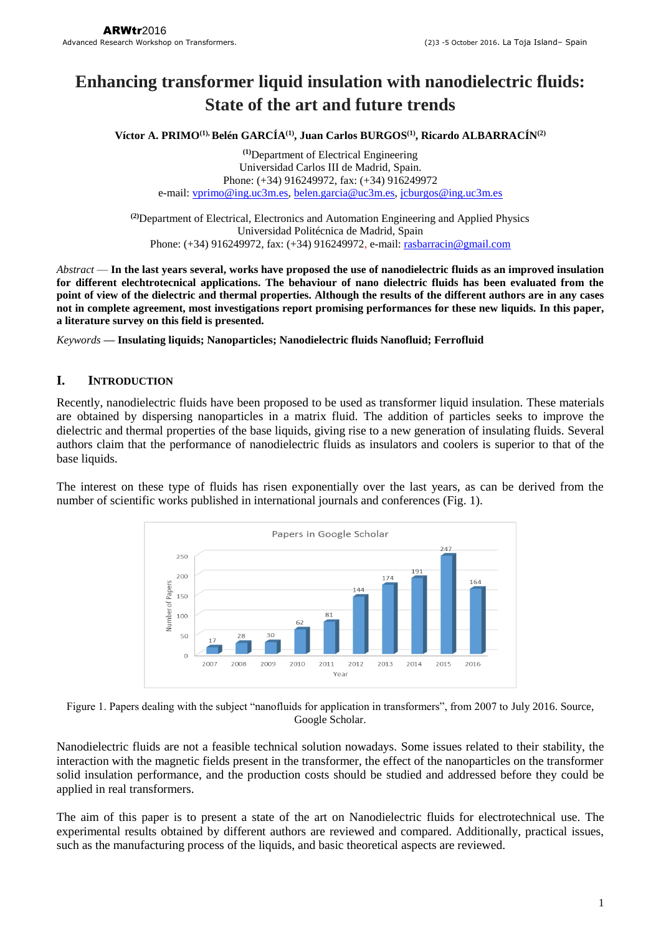# **Enhancing transformer liquid insulation with nanodielectric fluids: State of the art and future trends**

**Víctor A. PRIMO(1), Belén GARCÍA(1) , Juan Carlos BURGOS(1) , Ricardo ALBARRACÍN(2)**

**(1)**Department of Electrical Engineering Universidad Carlos III de Madrid, Spain. Phone: (+34) 916249972, fax: (+34) 916249972 e-mail: [vprimo@ing.uc3m.es,](mailto:vprimo@ing.uc3m.es) [belen.garcia@uc3m.es,](mailto:belen.garcia@uc3m.es) [jcburgos@ing.uc3m.es](mailto:jcburgos@ing.uc3m.es)

**(2)**Department of Electrical, Electronics and Automation Engineering and Applied Physics Universidad Politécnica de Madrid, Spain Phone: (+34) 916249972, fax: (+34) 916249972, e-mail: [rasbarracin@gmail.com](mailto:rasbarracin@gmail.com)

*Abstract* — **In the last years several, works have proposed the use of nanodielectric fluids as an improved insulation for different elechtrotecnical applications. The behaviour of nano dielectric fluids has been evaluated from the point of view of the dielectric and thermal properties. Although the results of the different authors are in any cases not in complete agreement, most investigations report promising performances for these new liquids. In this paper, a literature survey on this field is presented.**

*Keywords* **— Insulating liquids; Nanoparticles; Nanodielectric fluids Nanofluid; Ferrofluid**

# **I. INTRODUCTION**

Recently, nanodielectric fluids have been proposed to be used as transformer liquid insulation. These materials are obtained by dispersing nanoparticles in a matrix fluid. The addition of particles seeks to improve the dielectric and thermal properties of the base liquids, giving rise to a new generation of insulating fluids. Several authors claim that the performance of nanodielectric fluids as insulators and coolers is superior to that of the base liquids.

The interest on these type of fluids has risen exponentially over the last years, as can be derived from the number of scientific works published in international journals and conferences (Fig. 1).



Figure 1. Papers dealing with the subject "nanofluids for application in transformers", from 2007 to July 2016. Source, Google Scholar.

Nanodielectric fluids are not a feasible technical solution nowadays. Some issues related to their stability, the interaction with the magnetic fields present in the transformer, the effect of the nanoparticles on the transformer solid insulation performance, and the production costs should be studied and addressed before they could be applied in real transformers.

The aim of this paper is to present a state of the art on Nanodielectric fluids for electrotechnical use. The experimental results obtained by different authors are reviewed and compared. Additionally, practical issues, such as the manufacturing process of the liquids, and basic theoretical aspects are reviewed.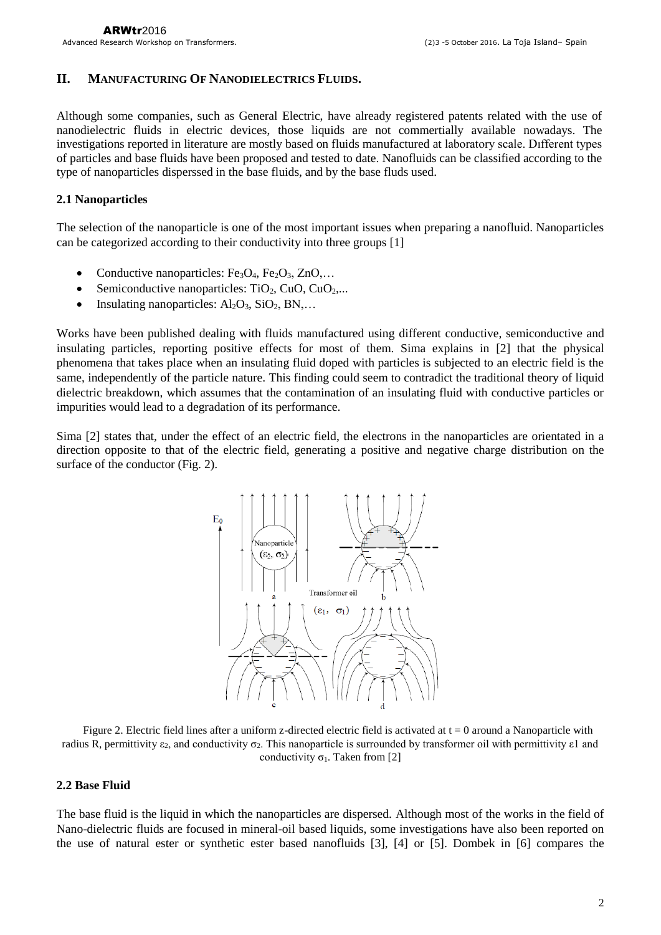## **II. MANUFACTURING OF NANODIELECTRICS FLUIDS.**

Although some companies, such as General Electric, have already registered patents related with the use of nanodielectric fluids in electric devices, those liquids are not commertially available nowadays. The investigations reported in literature are mostly based on fluids manufactured at laboratory scale. Dıfferent types of particles and base fluids have been proposed and tested to date. Nanofluids can be classified according to the type of nanoparticles disperssed in the base fluids, and by the base fluds used.

#### **2.1 Nanoparticles**

The selection of the nanoparticle is one of the most important issues when preparing a nanofluid. Nanoparticles can be categorized according to their conductivity into three groups [1]

- Conductive nanoparticles:  $Fe<sub>3</sub>O<sub>4</sub>$ ,  $Fe<sub>2</sub>O<sub>3</sub>$ ,  $ZnO$ ,...
- Semiconductive nanoparticles:  $TiO<sub>2</sub>, CuO, CuO<sub>2</sub>,...$
- Insulating nanoparticles:  $Al_2O_3$ ,  $SiO_2$ ,  $BN$ ,...

Works have been published dealing with fluids manufactured using different conductive, semiconductive and insulating particles, reporting positive effects for most of them. Sima explains in [2] that the physical phenomena that takes place when an insulating fluid doped with particles is subjected to an electric field is the same, independently of the particle nature. This finding could seem to contradict the traditional theory of liquid dielectric breakdown, which assumes that the contamination of an insulating fluid with conductive particles or impurities would lead to a degradation of its performance.

Sima [2] states that, under the effect of an electric field, the electrons in the nanoparticles are orientated in a direction opposite to that of the electric field, generating a positive and negative charge distribution on the surface of the conductor (Fig. 2).



Figure 2. Electric field lines after a uniform z-directed electric field is activated at  $t = 0$  around a Nanoparticle with radius R, permittivity  $ε_2$ , and conductivity  $σ_2$ . This nanoparticle is surrounded by transformer oil with permittivity  $ε1$  and conductivity  $\sigma_1$ . Taken from [2]

#### **2.2 Base Fluid**

The base fluid is the liquid in which the nanoparticles are dispersed. Although most of the works in the field of Nano-dielectric fluids are focused in mineral-oil based liquids, some investigations have also been reported on the use of natural ester or synthetic ester based nanofluids [3], [4] or [5]. Dombek in [6] compares the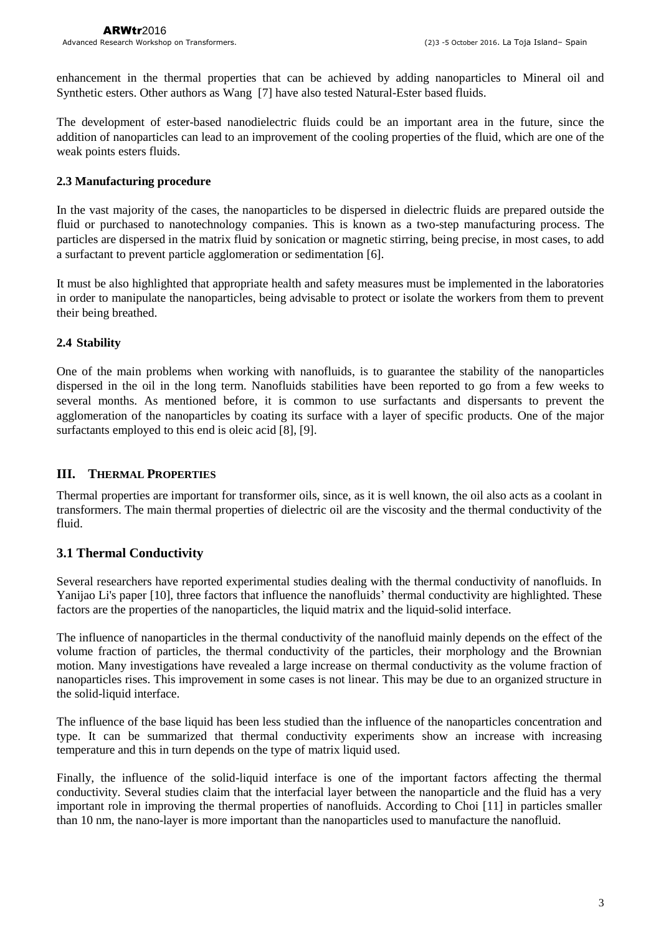enhancement in the thermal properties that can be achieved by adding nanoparticles to Mineral oil and Synthetic esters. Other authors as Wang [7] have also tested Natural-Ester based fluids.

The development of ester-based nanodielectric fluids could be an important area in the future, since the addition of nanoparticles can lead to an improvement of the cooling properties of the fluid, which are one of the weak points esters fluids.

#### **2.3 Manufacturing procedure**

In the vast majority of the cases, the nanoparticles to be dispersed in dielectric fluids are prepared outside the fluid or purchased to nanotechnology companies. This is known as a two-step manufacturing process. The particles are dispersed in the matrix fluid by sonication or magnetic stirring, being precise, in most cases, to add a surfactant to prevent particle agglomeration or sedimentation [6].

It must be also highlighted that appropriate health and safety measures must be implemented in the laboratories in order to manipulate the nanoparticles, being advisable to protect or isolate the workers from them to prevent their being breathed.

## **2.4 Stability**

One of the main problems when working with nanofluids, is to guarantee the stability of the nanoparticles dispersed in the oil in the long term. Nanofluids stabilities have been reported to go from a few weeks to several months. As mentioned before, it is common to use surfactants and dispersants to prevent the agglomeration of the nanoparticles by coating its surface with a layer of specific products. One of the major surfactants employed to this end is oleic acid [8], [9].

#### **III. THERMAL PROPERTIES**

Thermal properties are important for transformer oils, since, as it is well known, the oil also acts as a coolant in transformers. The main thermal properties of dielectric oil are the viscosity and the thermal conductivity of the fluid.

# **3.1 Thermal Conductivity**

Several researchers have reported experimental studies dealing with the thermal conductivity of nanofluids. In Yanijao Li's paper [10], three factors that influence the nanofluids' thermal conductivity are highlighted. These factors are the properties of the nanoparticles, the liquid matrix and the liquid-solid interface.

The influence of nanoparticles in the thermal conductivity of the nanofluid mainly depends on the effect of the volume fraction of particles, the thermal conductivity of the particles, their morphology and the Brownian motion. Many investigations have revealed a large increase on thermal conductivity as the volume fraction of nanoparticles rises. This improvement in some cases is not linear. This may be due to an organized structure in the solid-liquid interface.

The influence of the base liquid has been less studied than the influence of the nanoparticles concentration and type. It can be summarized that thermal conductivity experiments show an increase with increasing temperature and this in turn depends on the type of matrix liquid used.

Finally, the influence of the solid-liquid interface is one of the important factors affecting the thermal conductivity. Several studies claim that the interfacial layer between the nanoparticle and the fluid has a very important role in improving the thermal properties of nanofluids. According to Choi [11] in particles smaller than 10 nm, the nano-layer is more important than the nanoparticles used to manufacture the nanofluid.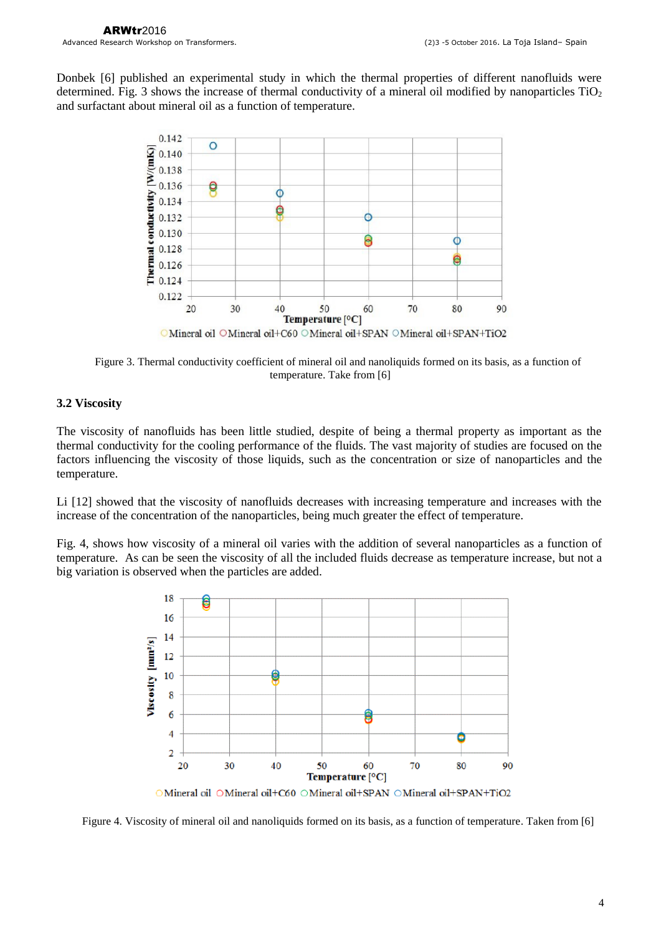Donbek [6] published an experimental study in which the thermal properties of different nanofluids were determined. Fig. 3 shows the increase of thermal conductivity of a mineral oil modified by nanoparticles  $TiO<sub>2</sub>$ and surfactant about mineral oil as a function of temperature.



Figure 3. Thermal conductivity coefficient of mineral oil and nanoliquids formed on its basis, as a function of temperature. Take from [6]

## **3.2 Viscosity**

The viscosity of nanofluids has been little studied, despite of being a thermal property as important as the thermal conductivity for the cooling performance of the fluids. The vast majority of studies are focused on the factors influencing the viscosity of those liquids, such as the concentration or size of nanoparticles and the temperature.

Li [12] showed that the viscosity of nanofluids decreases with increasing temperature and increases with the increase of the concentration of the nanoparticles, being much greater the effect of temperature.

Fig. 4, shows how viscosity of a mineral oil varies with the addition of several nanoparticles as a function of temperature. As can be seen the viscosity of all the included fluids decrease as temperature increase, but not a big variation is observed when the particles are added.



OMineral oil OMineral oil+C60 OMineral oil+SPAN OMineral oil+SPAN+TiO2

Figure 4. Viscosity of mineral oil and nanoliquids formed on its basis, as a function of temperature. Taken from [6]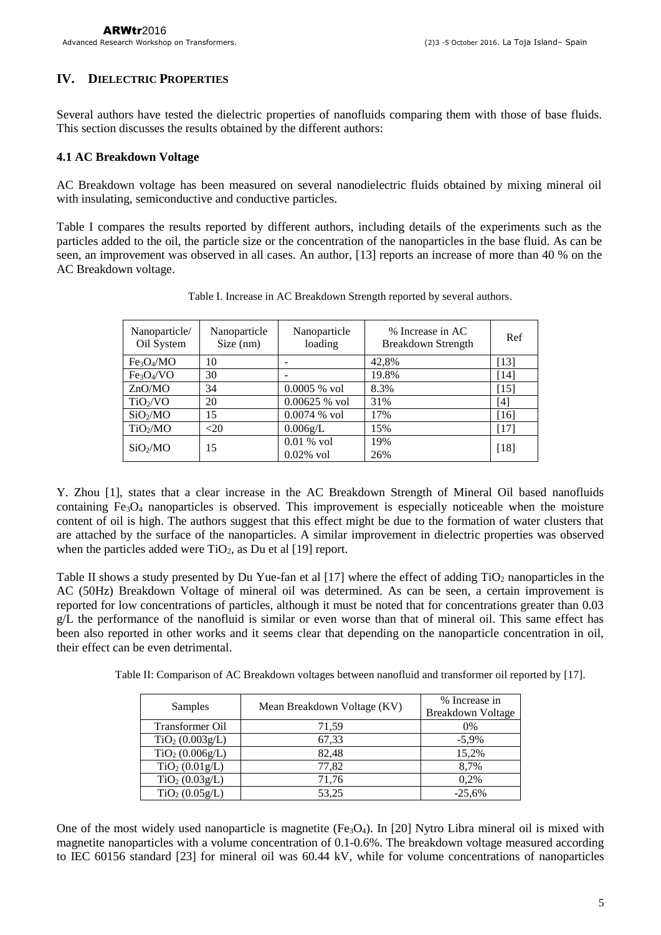#### **IV. DIELECTRIC PROPERTIES**

Several authors have tested the dielectric properties of nanofluids comparing them with those of base fluids. This section discusses the results obtained by the different authors:

#### **4.1 AC Breakdown Voltage**

AC Breakdown voltage has been measured on several nanodielectric fluids obtained by mixing mineral oil with insulating, semiconductive and conductive particles.

Table I compares the results reported by different authors, including details of the experiments such as the particles added to the oil, the particle size or the concentration of the nanoparticles in the base fluid. As can be seen, an improvement was observed in all cases. An author, [13] reports an increase of more than 40 % on the AC Breakdown voltage.

| Nanoparticle/<br>Oil System        | Nanoparticle<br>Size (nm) | Nanoparticle<br>loading      | % Increase in AC<br>Breakdown Strength | Ref    |
|------------------------------------|---------------------------|------------------------------|----------------------------------------|--------|
| Fe <sub>3</sub> O <sub>4</sub> /MO | 10                        |                              | 42,8%                                  | $[13]$ |
| Fe <sub>3</sub> O <sub>4</sub> /VO | 30                        |                              | 19.8%                                  | $[14]$ |
| ZnOMO                              | 34                        | $0.0005 %$ vol               | 8.3%                                   | $[15]$ |
| TiO <sub>2</sub> /VO               | 20                        | $0.00625 %$ vol              | 31%                                    | [4]    |
| SiO <sub>2</sub> /MO               | 15                        | $0.0074$ % vol               | 17%                                    | [16]   |
| TiO <sub>2</sub> /MO               | $<$ 20                    | 0.006g/L                     | 15%                                    | [17]   |
| SiO <sub>2</sub> /MO               | 15                        | $0.01\%$ vol<br>$0.02\%$ vol | 19%<br>26%                             | $[18]$ |

Table I. Increase in AC Breakdown Strength reported by several authors.

Y. Zhou [1], states that a clear increase in the AC Breakdown Strength of Mineral Oil based nanofluids containing  $Fe<sub>3</sub>O<sub>4</sub>$  nanoparticles is observed. This improvement is especially noticeable when the moisture content of oil is high. The authors suggest that this effect might be due to the formation of water clusters that are attached by the surface of the nanoparticles. A similar improvement in dielectric properties was observed when the particles added were  $TiO<sub>2</sub>$ , as Du et al [19] report.

Table II shows a study presented by Du Yue-fan et al  $[17]$  where the effect of adding  $TiO<sub>2</sub>$  nanoparticles in the AC (50Hz) Breakdown Voltage of mineral oil was determined. As can be seen, a certain improvement is reported for low concentrations of particles, although it must be noted that for concentrations greater than 0.03 g/L the performance of the nanofluid is similar or even worse than that of mineral oil. This same effect has been also reported in other works and it seems clear that depending on the nanoparticle concentration in oil, their effect can be even detrimental.

Table II: Comparison of AC Breakdown voltages between nanofluid and transformer oil reported by [17].

| Samples                     | Mean Breakdown Voltage (KV) | % Increase in     |  |
|-----------------------------|-----------------------------|-------------------|--|
|                             |                             | Breakdown Voltage |  |
| Transformer Oil             | 71.59                       | $0\%$             |  |
| TiO <sub>2</sub> (0.003g/L) | 67,33                       | $-5.9\%$          |  |
| TiO <sub>2</sub> (0.006g/L) | 82,48                       | 15,2%             |  |
| TiO <sub>2</sub> (0.01g/L)  | 77,82                       | 8.7%              |  |
| TiO <sub>2</sub> (0.03g/L)  | 71,76                       | 0,2%              |  |
| TiO <sub>2</sub> (0.05g/L)  | 53,25                       | $-25,6%$          |  |

One of the most widely used nanoparticle is magnetite  $(Fe<sub>3</sub>O<sub>4</sub>)$ . In [20] Nytro Libra mineral oil is mixed with magnetite nanoparticles with a volume concentration of 0.1-0.6%. The breakdown voltage measured according to IEC 60156 standard [23] for mineral oil was 60.44 kV, while for volume concentrations of nanoparticles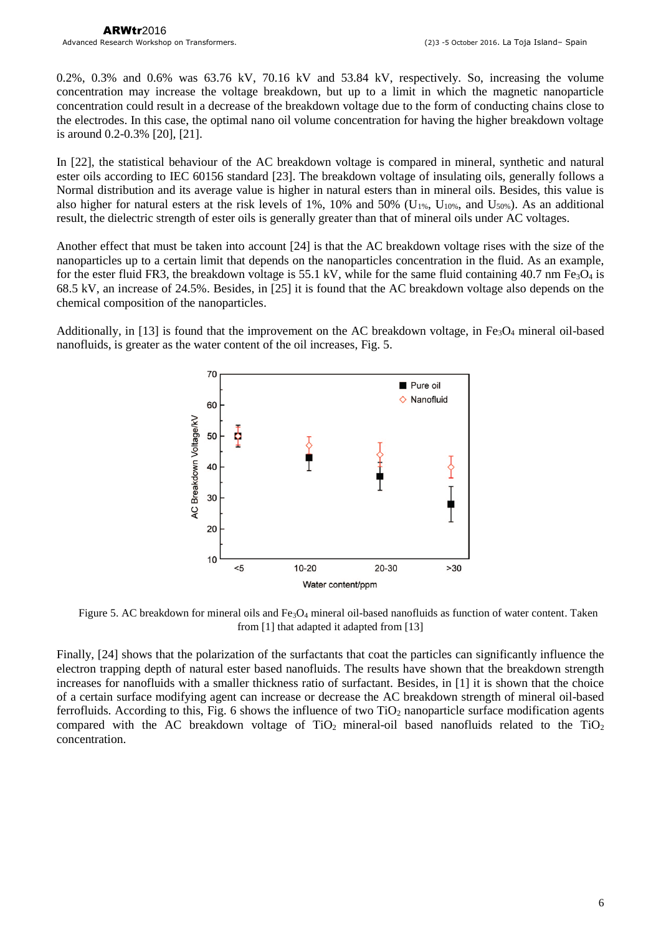0.2%, 0.3% and 0.6% was 63.76 kV, 70.16 kV and 53.84 kV, respectively. So, increasing the volume concentration may increase the voltage breakdown, but up to a limit in which the magnetic nanoparticle concentration could result in a decrease of the breakdown voltage due to the form of conducting chains close to the electrodes. In this case, the optimal nano oil volume concentration for having the higher breakdown voltage is around 0.2-0.3% [20], [21].

In [22], the statistical behaviour of the AC breakdown voltage is compared in mineral, synthetic and natural ester oils according to IEC 60156 standard [23]. The breakdown voltage of insulating oils, generally follows a Normal distribution and its average value is higher in natural esters than in mineral oils. Besides, this value is also higher for natural esters at the risk levels of 1%, 10% and 50% ( $U_{1\%}$ ,  $U_{10\%}$ , and  $U_{50\%}$ ). As an additional result, the dielectric strength of ester oils is generally greater than that of mineral oils under AC voltages.

Another effect that must be taken into account [24] is that the AC breakdown voltage rises with the size of the nanoparticles up to a certain limit that depends on the nanoparticles concentration in the fluid. As an example, for the ester fluid FR3, the breakdown voltage is 55.1 kV, while for the same fluid containing 40.7 nm Fe<sub>3</sub>O<sub>4</sub> is 68.5 kV, an increase of 24.5%. Besides, in [25] it is found that the AC breakdown voltage also depends on the chemical composition of the nanoparticles.

Additionally, in [13] is found that the improvement on the AC breakdown voltage, in  $Fe<sub>3</sub>O<sub>4</sub>$  mineral oil-based nanofluids, is greater as the water content of the oil increases, Fig. 5.



Figure 5. AC breakdown for mineral oils and Fe3O<sup>4</sup> mineral oil-based nanofluids as function of water content. Taken from [1] that adapted it adapted from [13]

Finally, [24] shows that the polarization of the surfactants that coat the particles can significantly influence the electron trapping depth of natural ester based nanofluids. The results have shown that the breakdown strength increases for nanofluids with a smaller thickness ratio of surfactant. Besides, in [1] it is shown that the choice of a certain surface modifying agent can increase or decrease the AC breakdown strength of mineral oil-based ferrofluids. According to this, Fig. 6 shows the influence of two  $TiO<sub>2</sub>$  nanoparticle surface modification agents compared with the AC breakdown voltage of  $TiO<sub>2</sub>$  mineral-oil based nanofluids related to the  $TiO<sub>2</sub>$ concentration.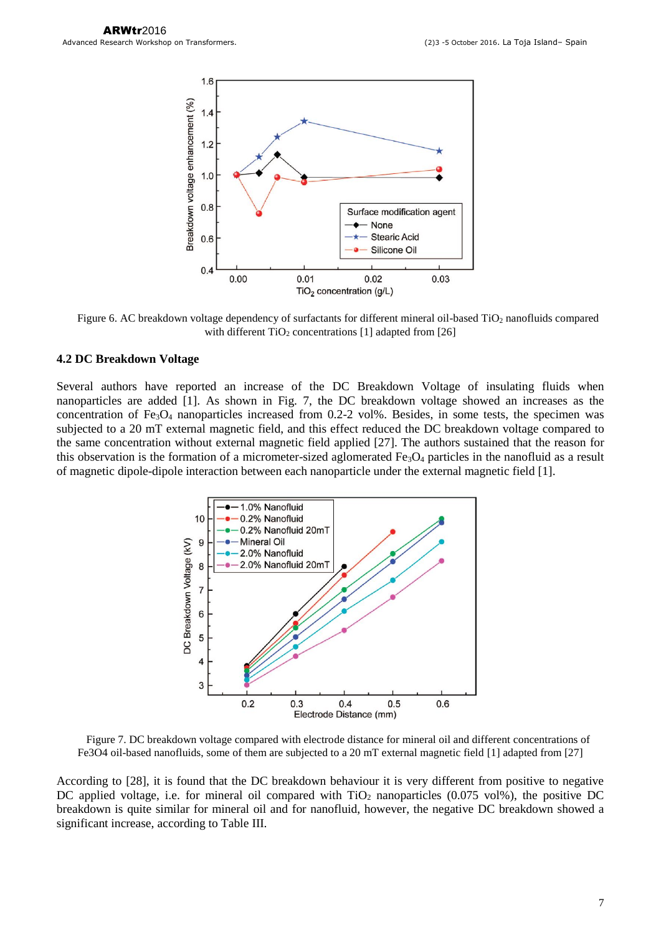

Figure 6. AC breakdown voltage dependency of surfactants for different mineral oil-based TiO<sub>2</sub> nanofluids compared with different  $TiO<sub>2</sub>$  concentrations [1] adapted from [26]

#### **4.2 DC Breakdown Voltage**

Several authors have reported an increase of the DC Breakdown Voltage of insulating fluids when nanoparticles are added [1]. As shown in Fig. 7, the DC breakdown voltage showed an increases as the concentration of  $Fe<sub>3</sub>O<sub>4</sub>$  nanoparticles increased from 0.2-2 vol%. Besides, in some tests, the specimen was subjected to a 20 mT external magnetic field, and this effect reduced the DC breakdown voltage compared to the same concentration without external magnetic field applied [27]. The authors sustained that the reason for this observation is the formation of a micrometer-sized aglomerated  $Fe<sub>3</sub>O<sub>4</sub>$  particles in the nanofluid as a result of magnetic dipole-dipole interaction between each nanoparticle under the external magnetic field [1].



Figure 7. DC breakdown voltage compared with electrode distance for mineral oil and different concentrations of Fe3O4 oil-based nanofluids, some of them are subjected to a 20 mT external magnetic field [1] adapted from [27]

According to [28], it is found that the DC breakdown behaviour it is very different from positive to negative DC applied voltage, i.e. for mineral oil compared with  $TiO<sub>2</sub>$  nanoparticles (0.075 vol%), the positive DC breakdown is quite similar for mineral oil and for nanofluid, however, the negative DC breakdown showed a significant increase, according to Table III.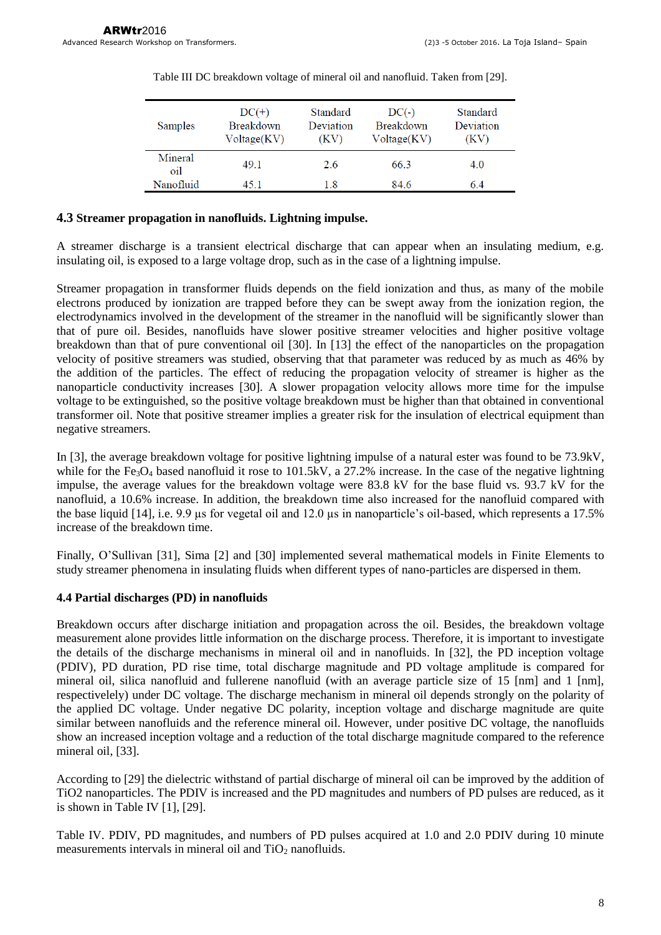| Samples        | $DC(+)$<br><b>Breakdown</b><br>Voltage(KV) | Standard<br>Deviation<br>(KV) | $DC(-)$<br><b>Breakdown</b><br>Voltage (KV) | Standard<br>Deviation<br>(KV) |
|----------------|--------------------------------------------|-------------------------------|---------------------------------------------|-------------------------------|
| Mineral<br>oil | 49.1                                       | 2.6                           | 66.3                                        | 4.0                           |
| Nanofluid      | 45 I                                       | 1.8                           | 84.6                                        | 64                            |

Table III DC breakdown voltage of mineral oil and nanofluid. Taken from [29].

#### **4.3 Streamer propagation in nanofluids. Lightning impulse.**

A streamer discharge is a transient electrical discharge that can appear when an insulating medium, e.g. insulating oil, is exposed to a large voltage drop, such as in the case of a lightning impulse.

Streamer propagation in transformer fluids depends on the field ionization and thus, as many of the mobile electrons produced by ionization are trapped before they can be swept away from the ionization region, the electrodynamics involved in the development of the streamer in the nanofluid will be significantly slower than that of pure oil. Besides, nanofluids have slower positive streamer velocities and higher positive voltage breakdown than that of pure conventional oil [30]. In [13] the effect of the nanoparticles on the propagation velocity of positive streamers was studied, observing that that parameter was reduced by as much as 46% by the addition of the particles. The effect of reducing the propagation velocity of streamer is higher as the nanoparticle conductivity increases [30]. A slower propagation velocity allows more time for the impulse voltage to be extinguished, so the positive voltage breakdown must be higher than that obtained in conventional transformer oil. Note that positive streamer implies a greater risk for the insulation of electrical equipment than negative streamers.

In [3], the average breakdown voltage for positive lightning impulse of a natural ester was found to be 73.9kV, while for the Fe<sub>3</sub>O<sub>4</sub> based nanofluid it rose to 101.5kV, a 27.2% increase. In the case of the negative lightning impulse, the average values for the breakdown voltage were 83.8 kV for the base fluid vs. 93.7 kV for the nanofluid, a 10.6% increase. In addition, the breakdown time also increased for the nanofluid compared with the base liquid [14], i.e. 9.9 µs for vegetal oil and 12.0 µs in nanoparticle's oil-based, which represents a 17.5% increase of the breakdown time.

Finally, O'Sullivan [31], Sima [2] and [30] implemented several mathematical models in Finite Elements to study streamer phenomena in insulating fluids when different types of nano-particles are dispersed in them.

#### **4.4 Partial discharges (PD) in nanofluids**

Breakdown occurs after discharge initiation and propagation across the oil. Besides, the breakdown voltage measurement alone provides little information on the discharge process. Therefore, it is important to investigate the details of the discharge mechanisms in mineral oil and in nanofluids. In [32], the PD inception voltage (PDIV), PD duration, PD rise time, total discharge magnitude and PD voltage amplitude is compared for mineral oil, silica nanofluid and fullerene nanofluid (with an average particle size of 15 [nm] and 1 [nm], respectivelely) under DC voltage. The discharge mechanism in mineral oil depends strongly on the polarity of the applied DC voltage. Under negative DC polarity, inception voltage and discharge magnitude are quite similar between nanofluids and the reference mineral oil. However, under positive DC voltage, the nanofluids show an increased inception voltage and a reduction of the total discharge magnitude compared to the reference mineral oil, [33].

According to [29] the dielectric withstand of partial discharge of mineral oil can be improved by the addition of TiO2 nanoparticles. The PDIV is increased and the PD magnitudes and numbers of PD pulses are reduced, as it is shown in Table IV  $[1]$ ,  $[29]$ .

Table IV. PDIV, PD magnitudes, and numbers of PD pulses acquired at 1.0 and 2.0 PDIV during 10 minute measurements intervals in mineral oil and  $TiO<sub>2</sub>$  nanofluids.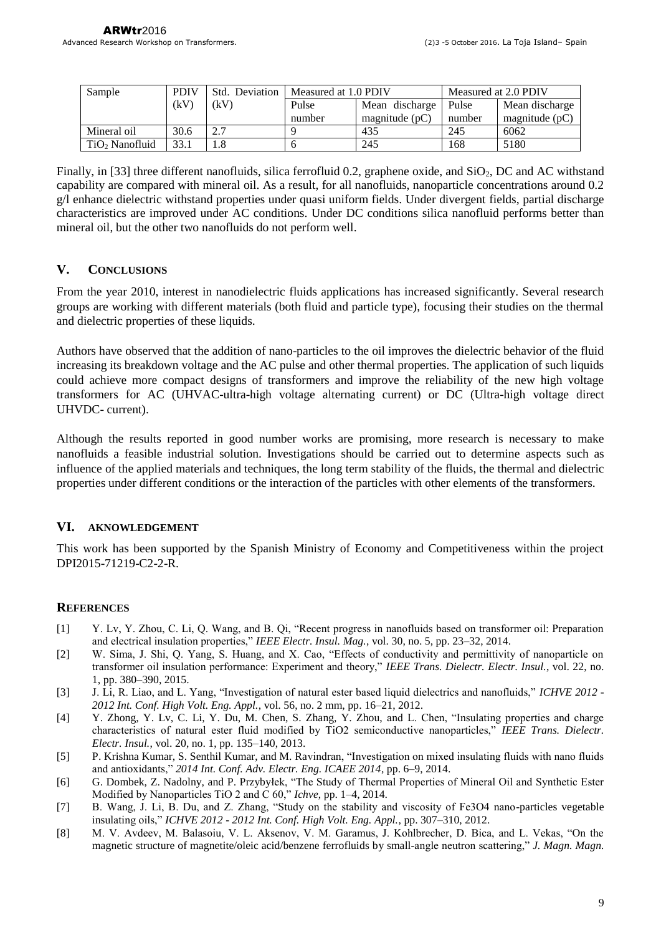| Sample                     | <b>PDIV</b> | Std. Deviation | Measured at 1.0 PDIV |                  | Measured at 2.0 PDIV |                  |
|----------------------------|-------------|----------------|----------------------|------------------|----------------------|------------------|
|                            | (kV)        | (kV)           | Pulse                | Mean discharge   | Pulse                | Mean discharge   |
|                            |             |                | number               | magnitude $(pC)$ | number               | magnitude $(pC)$ |
| Mineral oil                | 30.6        | 2.7            |                      | 435              | 245                  | 6062             |
| TiO <sub>2</sub> Nanofluid | 33.1        |                |                      | 245              | 168                  | 5180             |

Finally, in [33] three different nanofluids, silica ferrofluid 0.2, graphene oxide, and SiO<sub>2</sub>, DC and AC withstand capability are compared with mineral oil. As a result, for all nanofluids, nanoparticle concentrations around 0.2 g/l enhance dielectric withstand properties under quasi uniform fields. Under divergent fields, partial discharge characteristics are improved under AC conditions. Under DC conditions silica nanofluid performs better than mineral oil, but the other two nanofluids do not perform well.

# **V. CONCLUSIONS**

From the year 2010, interest in nanodielectric fluids applications has increased significantly. Several research groups are working with different materials (both fluid and particle type), focusing their studies on the thermal and dielectric properties of these liquids.

Authors have observed that the addition of nano-particles to the oil improves the dielectric behavior of the fluid increasing its breakdown voltage and the AC pulse and other thermal properties. The application of such liquids could achieve more compact designs of transformers and improve the reliability of the new high voltage transformers for AC (UHVAC-ultra-high voltage alternating current) or DC (Ultra-high voltage direct UHVDC- current).

Although the results reported in good number works are promising, more research is necessary to make nanofluids a feasible industrial solution. Investigations should be carried out to determine aspects such as influence of the applied materials and techniques, the long term stability of the fluids, the thermal and dielectric properties under different conditions or the interaction of the particles with other elements of the transformers.

# **VI. AKNOWLEDGEMENT**

This work has been supported by the Spanish Ministry of Economy and Competitiveness within the project DPI2015-71219-C2-2-R.

# **REFERENCES**

- [1] Y. Lv, Y. Zhou, C. Li, Q. Wang, and B. Qi, "Recent progress in nanofluids based on transformer oil: Preparation and electrical insulation properties," *IEEE Electr. Insul. Mag.*, vol. 30, no. 5, pp. 23–32, 2014.
- [2] W. Sima, J. Shi, Q. Yang, S. Huang, and X. Cao, "Effects of conductivity and permittivity of nanoparticle on transformer oil insulation performance: Experiment and theory," *IEEE Trans. Dielectr. Electr. Insul.*, vol. 22, no. 1, pp. 380–390, 2015.
- [3] J. Li, R. Liao, and L. Yang, "Investigation of natural ester based liquid dielectrics and nanofluids," *ICHVE 2012 - 2012 Int. Conf. High Volt. Eng. Appl.*, vol. 56, no. 2 mm, pp. 16–21, 2012.
- [4] Y. Zhong, Y. Lv, C. Li, Y. Du, M. Chen, S. Zhang, Y. Zhou, and L. Chen, "Insulating properties and charge characteristics of natural ester fluid modified by TiO2 semiconductive nanoparticles," *IEEE Trans. Dielectr. Electr. Insul.*, vol. 20, no. 1, pp. 135–140, 2013.
- [5] P. Krishna Kumar, S. Senthil Kumar, and M. Ravindran, "Investigation on mixed insulating fluids with nano fluids and antioxidants," *2014 Int. Conf. Adv. Electr. Eng. ICAEE 2014*, pp. 6–9, 2014.
- [6] G. Dombek, Z. Nadolny, and P. Przybyłek, "The Study of Thermal Properties of Mineral Oil and Synthetic Ester Modified by Nanoparticles TiO 2 and C 60," *Ichve*, pp. 1–4, 2014.
- [7] B. Wang, J. Li, B. Du, and Z. Zhang, "Study on the stability and viscosity of Fe3O4 nano-particles vegetable insulating oils," *ICHVE 2012 - 2012 Int. Conf. High Volt. Eng. Appl.*, pp. 307–310, 2012.
- [8] M. V. Avdeev, M. Balasoiu, V. L. Aksenov, V. M. Garamus, J. Kohlbrecher, D. Bica, and L. Vekas, "On the magnetic structure of magnetite/oleic acid/benzene ferrofluids by small-angle neutron scattering," *J. Magn. Magn.*